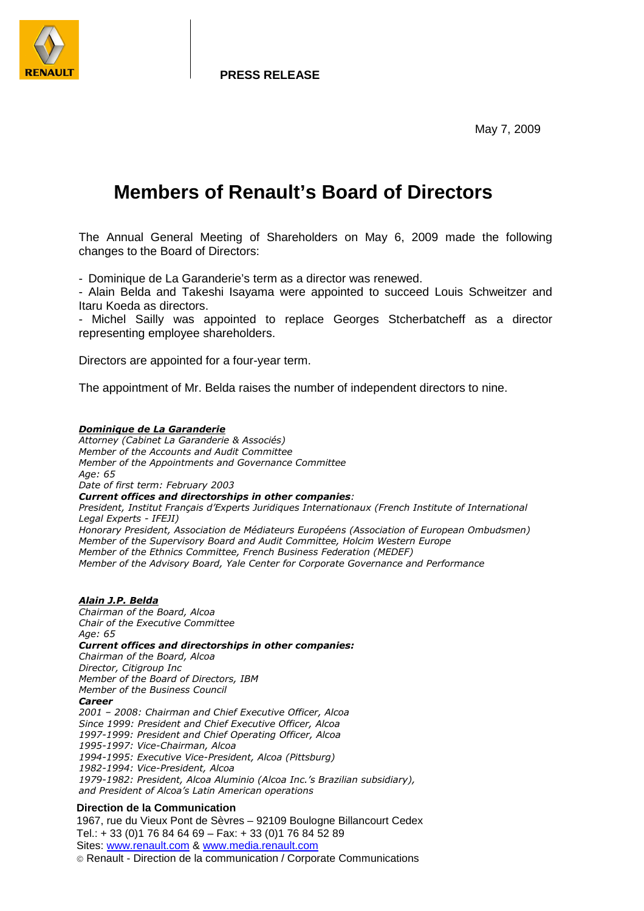

**PRESS RELEASE**

May 7, 2009

# **Members of Renault's Board of Directors**

The Annual General Meeting of Shareholders on May 6, 2009 made the following changes to the Board of Directors:

- Dominique de La Garanderie's term as a director was renewed.

- Alain Belda and Takeshi Isayama were appointed to succeed Louis Schweitzer and Itaru Koeda as directors.

- Michel Sailly was appointed to replace Georges Stcherbatcheff as a director representing employee shareholders.

Directors are appointed for a four-year term.

The appointment of Mr. Belda raises the number of independent directors to nine.

### Dominique de La Garanderie

Attorney (Cabinet La Garanderie & Associés) Member of the Accounts and Audit Committee Member of the Appointments and Governance Committee Age: 65

Date of first term: February 2003 Current offices and directorships in other companies:

President, Institut Français d'Experts Juridiques Internationaux (French Institute of International Legal Experts - IFEJI)

Honorary President, Association de Médiateurs Européens (Association of European Ombudsmen) Member of the Supervisory Board and Audit Committee, Holcim Western Europe Member of the Ethnics Committee, French Business Federation (MEDEF) Member of the Advisory Board, Yale Center for Corporate Governance and Performance

# Alain J.P. Belda

Chairman of the Board, Alcoa Chair of the Executive Committee Age: 65 Current offices and directorships in other companies: Chairman of the Board, Alcoa Director, Citigroup Inc Member of the Board of Directors, IBM Member of the Business Council Career 2001 – 2008: Chairman and Chief Executive Officer, Alcoa Since 1999: President and Chief Executive Officer, Alcoa 1997-1999: President and Chief Operating Officer, Alcoa 1995-1997: Vice-Chairman, Alcoa 1994-1995: Executive Vice-President, Alcoa (Pittsburg) 1982-1994: Vice-President, Alcoa 1979-1982: President, Alcoa Aluminio (Alcoa Inc.'s Brazilian subsidiary), and President of Alcoa's Latin American operations

## **Direction de la Communication**

1967, rue du Vieux Pont de Sèvres – 92109 Boulogne Billancourt Cedex Tel.: + 33 (0)1 76 84 64 69 – Fax: + 33 (0)1 76 84 52 89 Sites: www.renault.com & www.media.renault.com

Renault - Direction de la communication / Corporate Communications